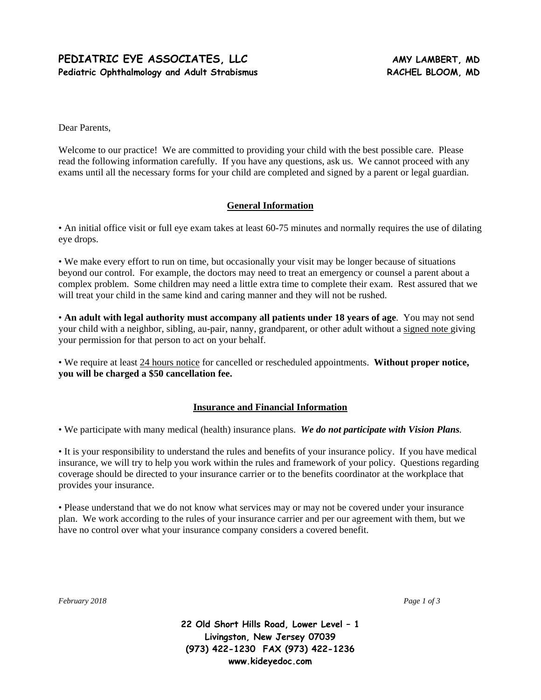## PEDIATRIC EYE ASSOCIATES, LLC **AMY LAMBERT, MD** Pediatric Ophthalmology and Adult Strabismus **RACHEL BLOOM, MD**

Dear Parents,

Welcome to our practice! We are committed to providing your child with the best possible care. Please read the following information carefully. If you have any questions, ask us. We cannot proceed with any exams until all the necessary forms for your child are completed and signed by a parent or legal guardian.

### **General Information**

• An initial office visit or full eye exam takes at least 60-75 minutes and normally requires the use of dilating eye drops.

• We make every effort to run on time, but occasionally your visit may be longer because of situations beyond our control. For example, the doctors may need to treat an emergency or counsel a parent about a complex problem. Some children may need a little extra time to complete their exam. Rest assured that we will treat your child in the same kind and caring manner and they will not be rushed.

• **An adult with legal authority must accompany all patients under 18 years of age**. You may not send your child with a neighbor, sibling, au-pair, nanny, grandparent, or other adult without a signed note giving your permission for that person to act on your behalf.

• We require at least 24 hours notice for cancelled or rescheduled appointments. **Without proper notice, you will be charged a \$50 cancellation fee.** 

## **Insurance and Financial Information**

• We participate with many medical (health) insurance plans. *We do not participate with Vision Plans.*

• It is your responsibility to understand the rules and benefits of your insurance policy. If you have medical insurance, we will try to help you work within the rules and framework of your policy. Questions regarding coverage should be directed to your insurance carrier or to the benefits coordinator at the workplace that provides your insurance.

• Please understand that we do not know what services may or may not be covered under your insurance plan. We work according to the rules of your insurance carrier and per our agreement with them, but we have no control over what your insurance company considers a covered benefit.

*February 2018 Page 1 of 3* 

**22 Old Short Hills Road, Lower Level – 1 Livingston, New Jersey 07039 (973) 422-1230 FAX (973) 422-1236 www.kideyedoc.com**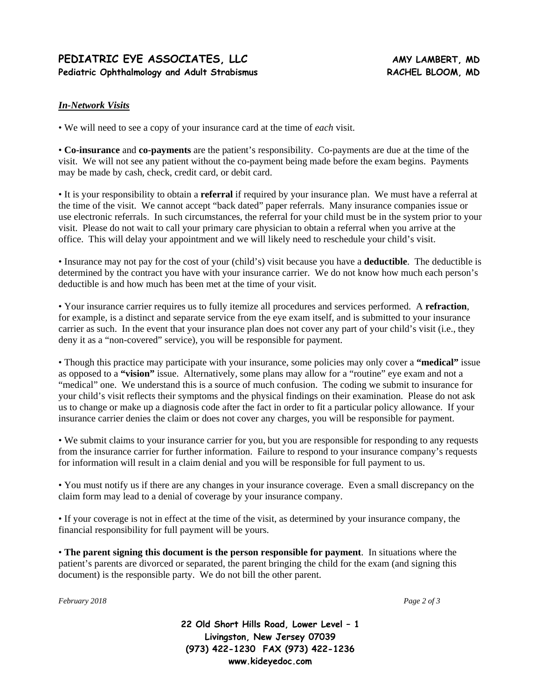# PEDIATRIC EYE ASSOCIATES, LLC **AMY LAMBERT, MD** Pediatric Ophthalmology and Adult Strabismus **RACHEL BLOOM, MD**

## *In-Network Visits*

• We will need to see a copy of your insurance card at the time of *each* visit.

• **Co-insurance** and **co-payments** are the patient's responsibility. Co-payments are due at the time of the visit. We will not see any patient without the co-payment being made before the exam begins. Payments may be made by cash, check, credit card, or debit card.

• It is your responsibility to obtain a **referral** if required by your insurance plan. We must have a referral at the time of the visit. We cannot accept "back dated" paper referrals. Many insurance companies issue or use electronic referrals. In such circumstances, the referral for your child must be in the system prior to your visit. Please do not wait to call your primary care physician to obtain a referral when you arrive at the office. This will delay your appointment and we will likely need to reschedule your child's visit.

• Insurance may not pay for the cost of your (child's) visit because you have a **deductible**. The deductible is determined by the contract you have with your insurance carrier. We do not know how much each person's deductible is and how much has been met at the time of your visit.

• Your insurance carrier requires us to fully itemize all procedures and services performed. A **refraction**, for example, is a distinct and separate service from the eye exam itself, and is submitted to your insurance carrier as such. In the event that your insurance plan does not cover any part of your child's visit (i.e., they deny it as a "non-covered" service), you will be responsible for payment.

• Though this practice may participate with your insurance, some policies may only cover a **"medical"** issue as opposed to a **"vision"** issue. Alternatively, some plans may allow for a "routine" eye exam and not a "medical" one. We understand this is a source of much confusion. The coding we submit to insurance for your child's visit reflects their symptoms and the physical findings on their examination. Please do not ask us to change or make up a diagnosis code after the fact in order to fit a particular policy allowance. If your insurance carrier denies the claim or does not cover any charges, you will be responsible for payment.

• We submit claims to your insurance carrier for you, but you are responsible for responding to any requests from the insurance carrier for further information. Failure to respond to your insurance company's requests for information will result in a claim denial and you will be responsible for full payment to us.

• You must notify us if there are any changes in your insurance coverage. Even a small discrepancy on the claim form may lead to a denial of coverage by your insurance company.

• If your coverage is not in effect at the time of the visit, as determined by your insurance company, the financial responsibility for full payment will be yours.

• **The parent signing this document is the person responsible for payment**. In situations where the patient's parents are divorced or separated, the parent bringing the child for the exam (and signing this document) is the responsible party. We do not bill the other parent.

*February 2018 Page 2 of 3* 

**22 Old Short Hills Road, Lower Level – 1 Livingston, New Jersey 07039 (973) 422-1230 FAX (973) 422-1236 www.kideyedoc.com**